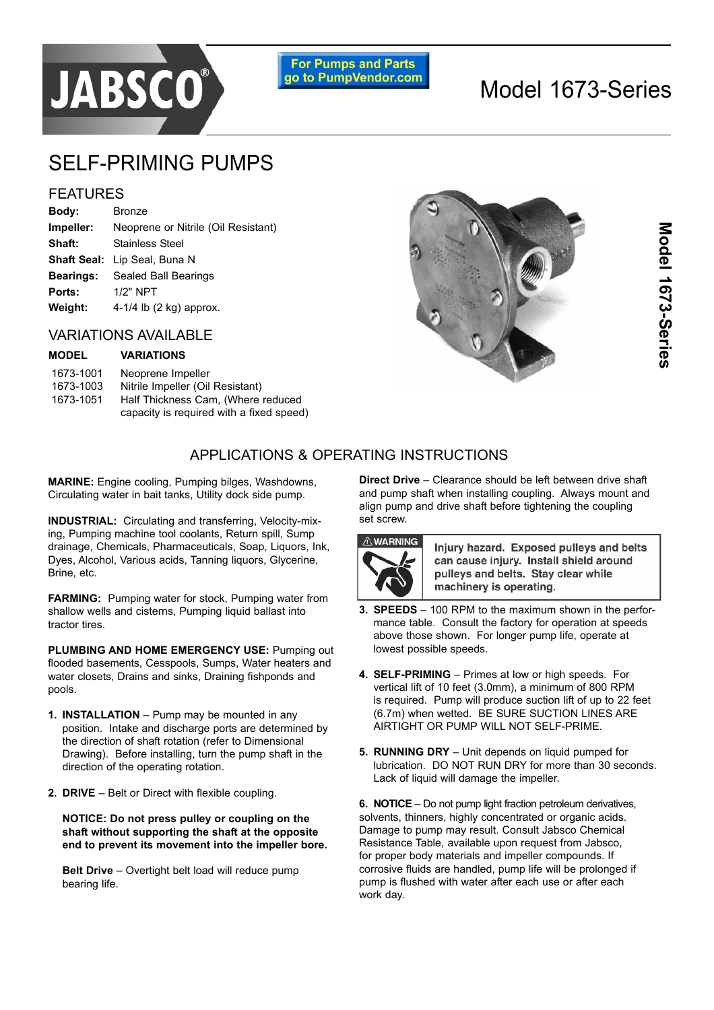

**For Pumps and Parts** go to PumpVendor.com

# Model 1673-Series

## SELF-PRIMING PUMPS

## FEATURES

| Body:            | Bronze                              |
|------------------|-------------------------------------|
| Impeller:        | Neoprene or Nitrile (Oil Resistant) |
| Shaft:           | Stainless Steel                     |
|                  | <b>Shaft Seal:</b> Lip Seal, Buna N |
| <b>Bearings:</b> | Sealed Ball Bearings                |
| Ports:           | $1/2"$ NPT                          |
| Weight:          | 4-1/4 lb $(2 \text{ kg})$ approx.   |
|                  |                                     |

## VARIATIONS AVAILABLE

#### **MODEL VARIATIONS**

| 1673-1001 | Neoprene Impeller                        |
|-----------|------------------------------------------|
| 1673-1003 | Nitrile Impeller (Oil Resistant)         |
| 1673-1051 | Half Thickness Cam, (Where reduced       |
|           | capacity is required with a fixed speed) |



## APPLICATIONS & OPERATING INSTRUCTIONS

**MARINE:** Engine cooling, Pumping bilges, Washdowns, Circulating water in bait tanks, Utility dock side pump.

**INDUSTRIAL:** Circulating and transferring, Velocity-mixing, Pumping machine tool coolants, Return spill, Sump drainage, Chemicals, Pharmaceuticals, Soap, Liquors, Ink, Dyes, Alcohol, Various acids, Tanning liquors, Glycerine, Brine, etc.

**FARMING:** Pumping water for stock, Pumping water from shallow wells and cisterns. Pumping liquid ballast into tractor tires.

**PLUMBING AND HOME EMERGENCY USE: Pumping out** flooded basements, Cesspools, Sumps, Water heaters and water closets, Drains and sinks, Draining fishponds and pools.

- **1. INSTALLATION** Pump may be mounted in any position. Intake and discharge ports are determined by the direction of shaft rotation (refer to Dimensional Drawing). Before installing, turn the pump shaft in the direction of the operating rotation.
- **2. DRIVE** Belt or Direct with flexible coupling.

**NOTICE: Do not press pulley or coupling on the shaft without supporting the shaft at the opposite end to prevent its movement into the impeller bore.**

**Belt Drive** – Overtight belt load will reduce pump bearing life.

**Direct Drive** – Clearance should be left between drive shaft and pump shaft when installing coupling. Always mount and align pump and drive shaft before tightening the coupling set screw.



Injury hazard. Exposed pulleys and belts can cause injury. Install shield around pullevs and belts. Stav clear while machinery is operating.

- **3. SPEEDS** 100 RPM to the maximum shown in the performance table. Consult the factory for operation at speeds above those shown. For longer pump life, operate at lowest possible speeds.
- 4. **SELF-PRIMING** Primes at low or high speeds. For vertical lift of 10 feet (3.0mm), a minimum of 800 RPM is required. Pump will produce suction lift of up to 22 feet (6.7m) when wetted. BE SURE SUCTION LINES ARE AIRTIGHT OR PUMP WILL NOT SELF-PRIME.
- **5. RUNNING DRY** Unit depends on liquid pumped for lubrication. DO NOT RUN DRY for more than 30 seconds. Lack of liquid will damage the impeller.

**6. NOTICE** – Do not pump light fraction petroleum derivatives, solvents, thinners, highly concentrated or organic acids. Damage to pump may result. Consult Jabsco Chemical Resistance Table, available upon request from Jabsco, for proper body materials and impeller compounds. If corrosive fluids are handled, pump life will be prolonged if pump is flushed with water after each use or after each work day.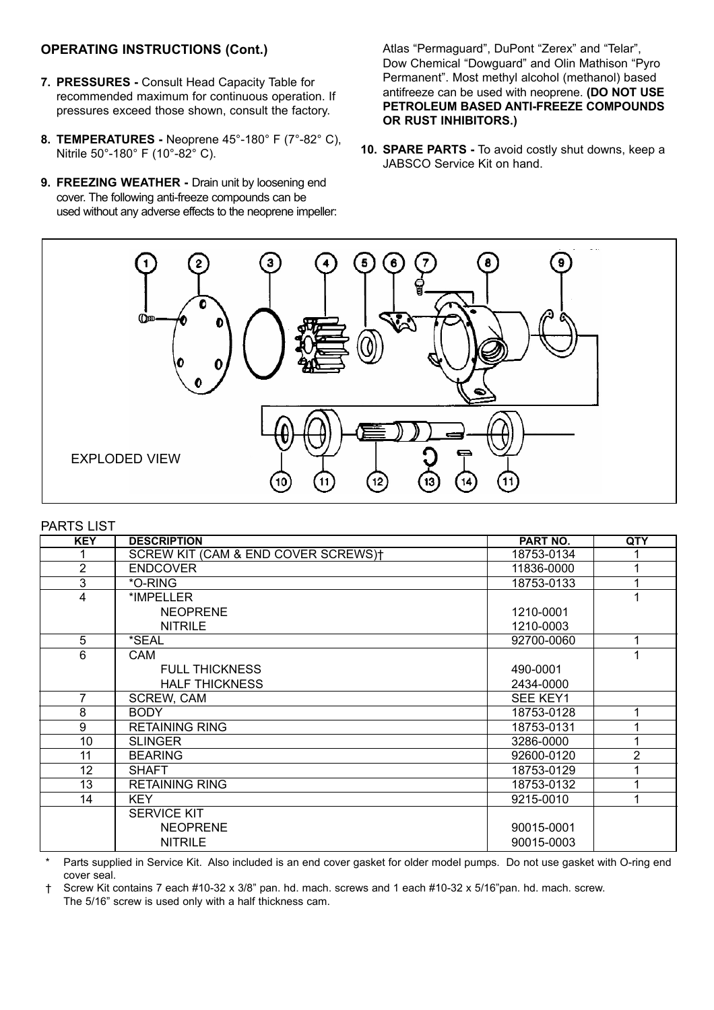### **OPERATING INSTRUCTIONS (Cont.)**

- **7. PRESSURES -** Consult Head Capacity Table for recommended maximum for continuous operation. If pressures exceed those shown, consult the factory.
- **8. TEMPERATURES -** Neoprene 45°-180° F (7°-82° C), Nitrile 50°-180° F (10°-82° C).
- **9. FREEZING WEATHER -** Drain unit by loosening end cover. The following anti-freeze compounds can be used without any adverse effects to the neoprene impeller:

Atlas "Permaguard", DuPont "Zerex" and "Telar", Dow Chemical "Dowquard" and Olin Mathison "Pyro Permanent". Most methyl alcohol (methanol) based antifreeze can be used with neoprene. **(DO NOT USE PETROLEUM BASED ANTI-FREEZE COMPOUNDS OR RUST INHIBITORS.)**

**10. SPARE PARTS -** To avoid costly shut downs, keep a JABSCO Service Kit on hand.



#### PARTS LIST

| <b>KEY</b>     | <b>DESCRIPTION</b>                  | <b>PART NO.</b> | QTY            |
|----------------|-------------------------------------|-----------------|----------------|
|                | SCREW KIT (CAM & END COVER SCREWS)† | 18753-0134      |                |
| $\overline{2}$ | <b>ENDCOVER</b>                     | 11836-0000      | 1              |
| 3              | *O-RING                             | 18753-0133      |                |
| 4              | *IMPELLER                           |                 |                |
|                | <b>NEOPRENE</b>                     | 1210-0001       |                |
|                | <b>NITRILE</b>                      | 1210-0003       |                |
| $\overline{5}$ | *SEAL                               | 92700-0060      | 1              |
| 6              | CAM                                 |                 | 1              |
|                | <b>FULL THICKNESS</b>               | 490-0001        |                |
|                | <b>HALF THICKNESS</b>               | 2434-0000       |                |
| 7              | <b>SCREW, CAM</b>                   | <b>SEE KEY1</b> |                |
| 8              | <b>BODY</b>                         | 18753-0128      |                |
| 9              | <b>RETAINING RING</b>               | 18753-0131      |                |
| 10             | <b>SLINGER</b>                      | 3286-0000       | 1              |
| 11             | <b>BEARING</b>                      | 92600-0120      | $\overline{2}$ |
| 12             | <b>SHAFT</b>                        | 18753-0129      |                |
| 13             | <b>RETAINING RING</b>               | 18753-0132      |                |
| 14             | <b>KEY</b>                          | 9215-0010       |                |
|                | <b>SERVICE KIT</b>                  |                 |                |
|                | <b>NEOPRENE</b>                     | 90015-0001      |                |
|                | <b>NITRILE</b>                      | 90015-0003      |                |

Parts supplied in Service Kit. Also included is an end cover gasket for older model pumps. Do not use gasket with O-ring end cover seal.

Ü Screw Kit contains 7 each #10-32 x 3/8î pan. hd. mach. screws and 1 each #10-32 x 5/16îpan. hd. mach. screw. The 5/16" screw is used only with a half thickness cam.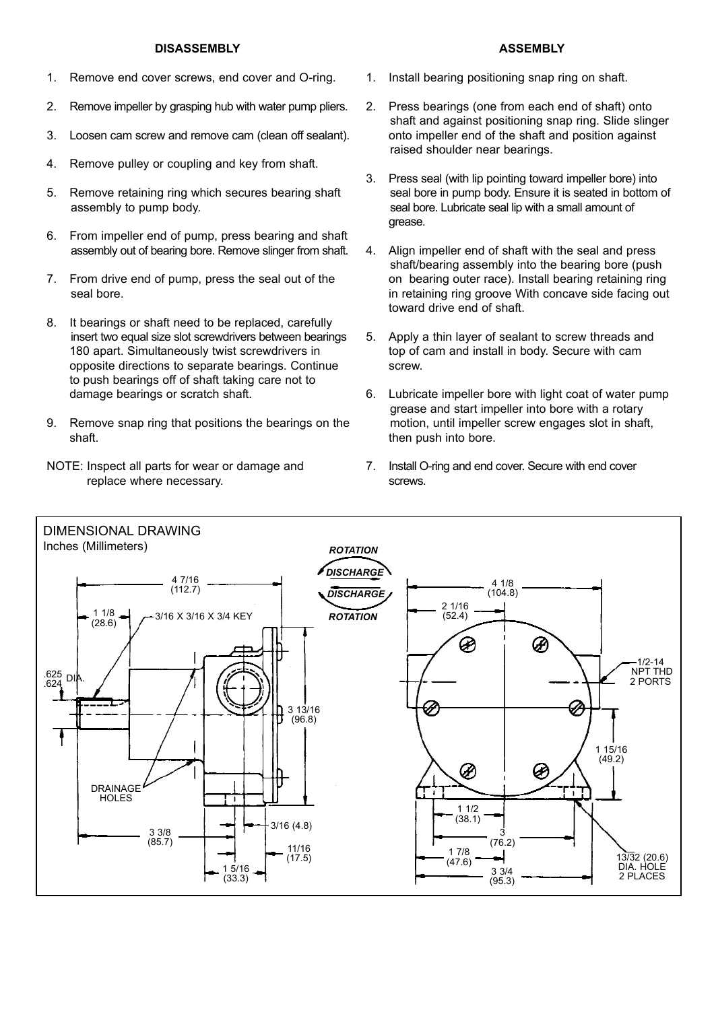#### **DISASSEMBLY**

- 1. Remove end cover screws, end cover and O-ring.
- 2. Remove impeller by grasping hub with water pump pliers.
- 3. Loosen cam screw and remove cam (clean off sealant).
- 4. Remove pulley or coupling and key from shaft.
- 5. Remove retaining ring which secures bearing shaft assembly to pump body.
- 6. From impeller end of pump, press bearing and shaft assembly out of bearing bore. Remove slinger from shaft.
- 7. From drive end of pump, press the seal out of the seal bore.
- 8. It bearings or shaft need to be replaced, carefully insert two equal size slot screwdrivers between bearings 180 apart. Simultaneously twist screwdrivers in opposite directions to separate bearings. Continue to push bearings off of shaft taking care not to damage bearings or scratch shaft.
- 9. Remove snap ring that positions the bearings on the shaft.
- NOTE: Inspect all parts for wear or damage and replace where necessary.
- 1. Install bearing positioning snap ring on shaft.
- 2. Press bearings (one from each end of shaft) onto shaft and against positioning snap ring. Slide slinger onto impeller end of the shaft and position against raised shoulder near bearings.
- 3. Press seal (with lip pointing toward impeller bore) into seal bore in pump body. Ensure it is seated in bottom of seal bore. Lubricate seal lip with a small amount of grease.
- 4. Align impeller end of shaft with the seal and press shaft/bearing assembly into the bearing bore (push on bearing outer race). Install bearing retaining ring in retaining ring groove With concave side facing out toward drive end of shaft.
- 5. Apply a thin layer of sealant to screw threads and top of cam and install in body. Secure with cam screw.
- 6. Lubricate impeller bore with light coat of water pump grease and start impeller into bore with a rotary motion, until impeller screw engages slot in shaft, then push into bore.
- 7. Install O-ring and end cover. Secure with end cover screws.



#### **ASSEMBLY**